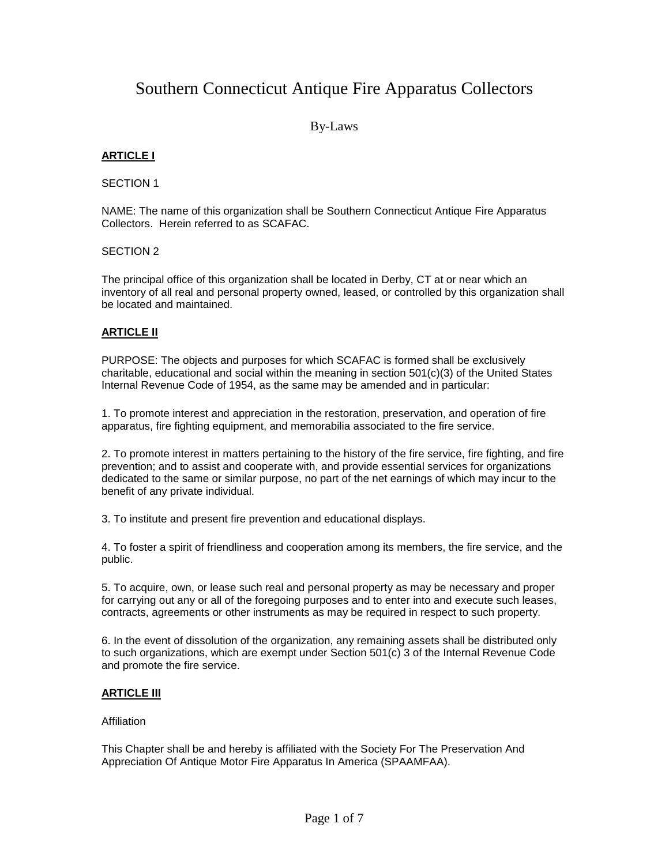# Southern Connecticut Antique Fire Apparatus Collectors

By-Laws

# **ARTICLE I**

#### SECTION 1

NAME: The name of this organization shall be Southern Connecticut Antique Fire Apparatus Collectors. Herein referred to as SCAFAC.

# SECTION 2

The principal office of this organization shall be located in Derby, CT at or near which an inventory of all real and personal property owned, leased, or controlled by this organization shall be located and maintained.

# **ARTICLE II**

PURPOSE: The objects and purposes for which SCAFAC is formed shall be exclusively charitable, educational and social within the meaning in section 501(c)(3) of the United States Internal Revenue Code of 1954, as the same may be amended and in particular:

1. To promote interest and appreciation in the restoration, preservation, and operation of fire apparatus, fire fighting equipment, and memorabilia associated to the fire service.

2. To promote interest in matters pertaining to the history of the fire service, fire fighting, and fire prevention; and to assist and cooperate with, and provide essential services for organizations dedicated to the same or similar purpose, no part of the net earnings of which may incur to the benefit of any private individual.

3. To institute and present fire prevention and educational displays.

4. To foster a spirit of friendliness and cooperation among its members, the fire service, and the public.

5. To acquire, own, or lease such real and personal property as may be necessary and proper for carrying out any or all of the foregoing purposes and to enter into and execute such leases, contracts, agreements or other instruments as may be required in respect to such property.

6. In the event of dissolution of the organization, any remaining assets shall be distributed only to such organizations, which are exempt under Section 501(c) 3 of the Internal Revenue Code and promote the fire service.

# **ARTICLE III**

#### **Affiliation**

This Chapter shall be and hereby is affiliated with the Society For The Preservation And Appreciation Of Antique Motor Fire Apparatus In America (SPAAMFAA).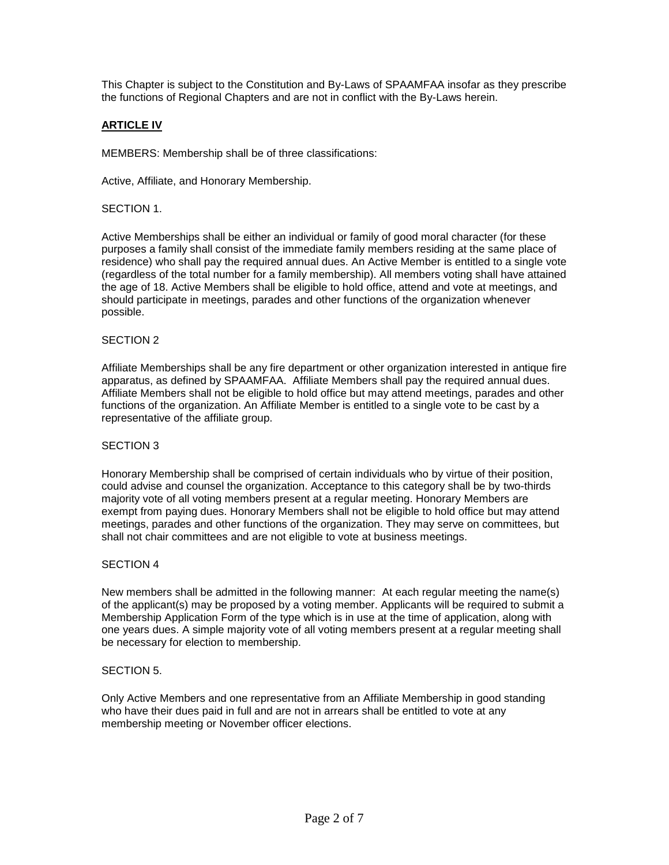This Chapter is subject to the Constitution and By-Laws of SPAAMFAA insofar as they prescribe the functions of Regional Chapters and are not in conflict with the By-Laws herein.

# **ARTICLE IV**

MEMBERS: Membership shall be of three classifications:

Active, Affiliate, and Honorary Membership.

# SECTION 1.

Active Memberships shall be either an individual or family of good moral character (for these purposes a family shall consist of the immediate family members residing at the same place of residence) who shall pay the required annual dues. An Active Member is entitled to a single vote (regardless of the total number for a family membership). All members voting shall have attained the age of 18. Active Members shall be eligible to hold office, attend and vote at meetings, and should participate in meetings, parades and other functions of the organization whenever possible.

# SECTION 2

Affiliate Memberships shall be any fire department or other organization interested in antique fire apparatus, as defined by SPAAMFAA. Affiliate Members shall pay the required annual dues. Affiliate Members shall not be eligible to hold office but may attend meetings, parades and other functions of the organization. An Affiliate Member is entitled to a single vote to be cast by a representative of the affiliate group.

#### SECTION 3

Honorary Membership shall be comprised of certain individuals who by virtue of their position, could advise and counsel the organization. Acceptance to this category shall be by two-thirds majority vote of all voting members present at a regular meeting. Honorary Members are exempt from paying dues. Honorary Members shall not be eligible to hold office but may attend meetings, parades and other functions of the organization. They may serve on committees, but shall not chair committees and are not eligible to vote at business meetings.

#### SECTION 4

New members shall be admitted in the following manner: At each regular meeting the name(s) of the applicant(s) may be proposed by a voting member. Applicants will be required to submit a Membership Application Form of the type which is in use at the time of application, along with one years dues. A simple majority vote of all voting members present at a regular meeting shall be necessary for election to membership.

#### SECTION 5.

Only Active Members and one representative from an Affiliate Membership in good standing who have their dues paid in full and are not in arrears shall be entitled to vote at any membership meeting or November officer elections.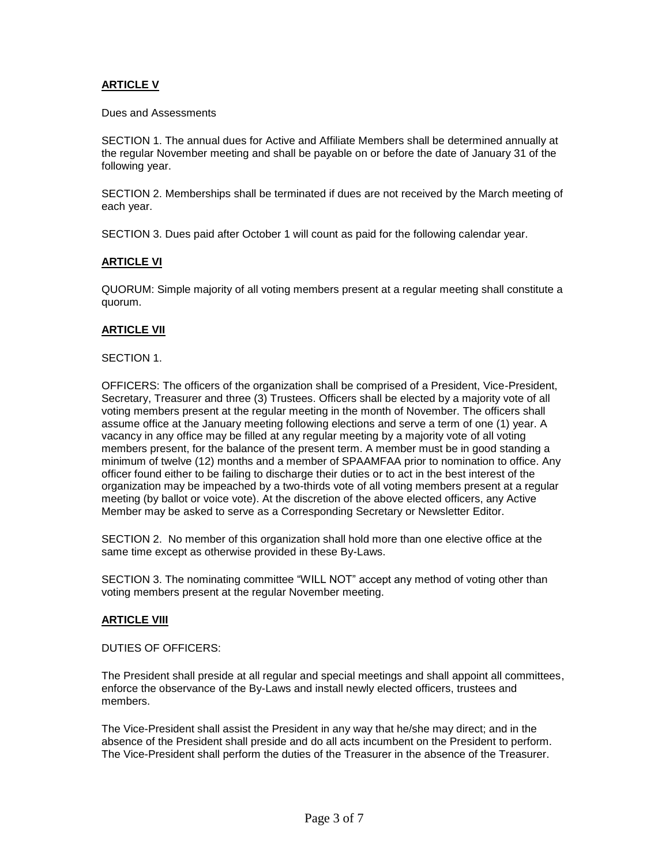# **ARTICLE V**

Dues and Assessments

SECTION 1. The annual dues for Active and Affiliate Members shall be determined annually at the regular November meeting and shall be payable on or before the date of January 31 of the following year.

SECTION 2. Memberships shall be terminated if dues are not received by the March meeting of each year.

SECTION 3. Dues paid after October 1 will count as paid for the following calendar year.

# **ARTICLE VI**

QUORUM: Simple majority of all voting members present at a regular meeting shall constitute a quorum.

# **ARTICLE VII**

#### SECTION 1.

OFFICERS: The officers of the organization shall be comprised of a President, Vice-President, Secretary, Treasurer and three (3) Trustees. Officers shall be elected by a majority vote of all voting members present at the regular meeting in the month of November. The officers shall assume office at the January meeting following elections and serve a term of one (1) year. A vacancy in any office may be filled at any regular meeting by a majority vote of all voting members present, for the balance of the present term. A member must be in good standing a minimum of twelve (12) months and a member of SPAAMFAA prior to nomination to office. Any officer found either to be failing to discharge their duties or to act in the best interest of the organization may be impeached by a two-thirds vote of all voting members present at a regular meeting (by ballot or voice vote). At the discretion of the above elected officers, any Active Member may be asked to serve as a Corresponding Secretary or Newsletter Editor.

SECTION 2. No member of this organization shall hold more than one elective office at the same time except as otherwise provided in these By-Laws.

SECTION 3. The nominating committee "WILL NOT" accept any method of voting other than voting members present at the regular November meeting.

#### **ARTICLE VIII**

DUTIES OF OFFICERS:

The President shall preside at all regular and special meetings and shall appoint all committees, enforce the observance of the By-Laws and install newly elected officers, trustees and members.

The Vice-President shall assist the President in any way that he/she may direct; and in the absence of the President shall preside and do all acts incumbent on the President to perform. The Vice-President shall perform the duties of the Treasurer in the absence of the Treasurer.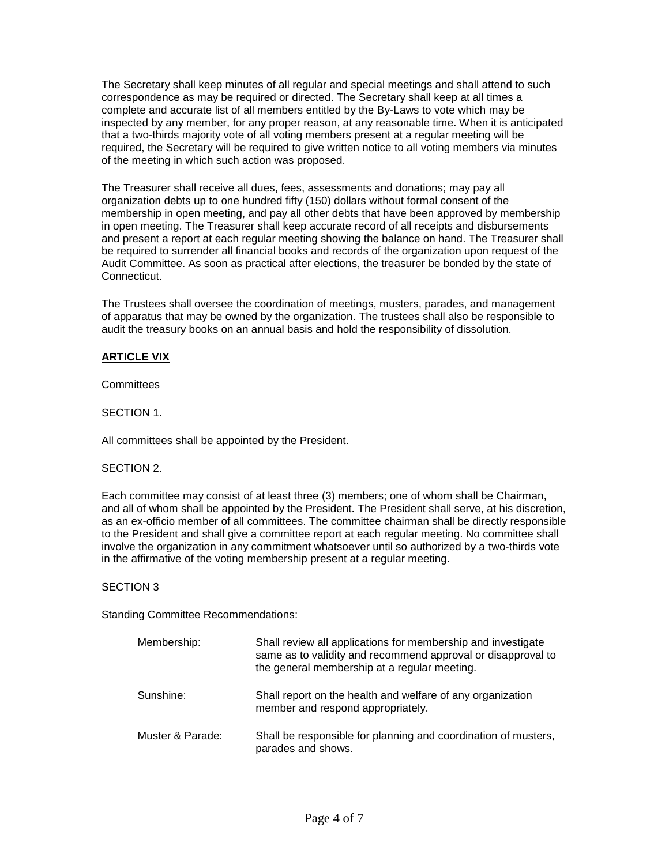The Secretary shall keep minutes of all regular and special meetings and shall attend to such correspondence as may be required or directed. The Secretary shall keep at all times a complete and accurate list of all members entitled by the By-Laws to vote which may be inspected by any member, for any proper reason, at any reasonable time. When it is anticipated that a two-thirds majority vote of all voting members present at a regular meeting will be required, the Secretary will be required to give written notice to all voting members via minutes of the meeting in which such action was proposed.

The Treasurer shall receive all dues, fees, assessments and donations; may pay all organization debts up to one hundred fifty (150) dollars without formal consent of the membership in open meeting, and pay all other debts that have been approved by membership in open meeting. The Treasurer shall keep accurate record of all receipts and disbursements and present a report at each regular meeting showing the balance on hand. The Treasurer shall be required to surrender all financial books and records of the organization upon request of the Audit Committee. As soon as practical after elections, the treasurer be bonded by the state of Connecticut.

The Trustees shall oversee the coordination of meetings, musters, parades, and management of apparatus that may be owned by the organization. The trustees shall also be responsible to audit the treasury books on an annual basis and hold the responsibility of dissolution.

# **ARTICLE VIX**

**Committees** 

SECTION 1

All committees shall be appointed by the President.

#### SECTION 2.

Each committee may consist of at least three (3) members; one of whom shall be Chairman, and all of whom shall be appointed by the President. The President shall serve, at his discretion, as an ex-officio member of all committees. The committee chairman shall be directly responsible to the President and shall give a committee report at each regular meeting. No committee shall involve the organization in any commitment whatsoever until so authorized by a two-thirds vote in the affirmative of the voting membership present at a regular meeting.

#### SECTION 3

Standing Committee Recommendations:

| Membership:      | Shall review all applications for membership and investigate<br>same as to validity and recommend approval or disapproval to<br>the general membership at a regular meeting. |
|------------------|------------------------------------------------------------------------------------------------------------------------------------------------------------------------------|
| Sunshine:        | Shall report on the health and welfare of any organization<br>member and respond appropriately.                                                                              |
| Muster & Parade: | Shall be responsible for planning and coordination of musters,<br>parades and shows.                                                                                         |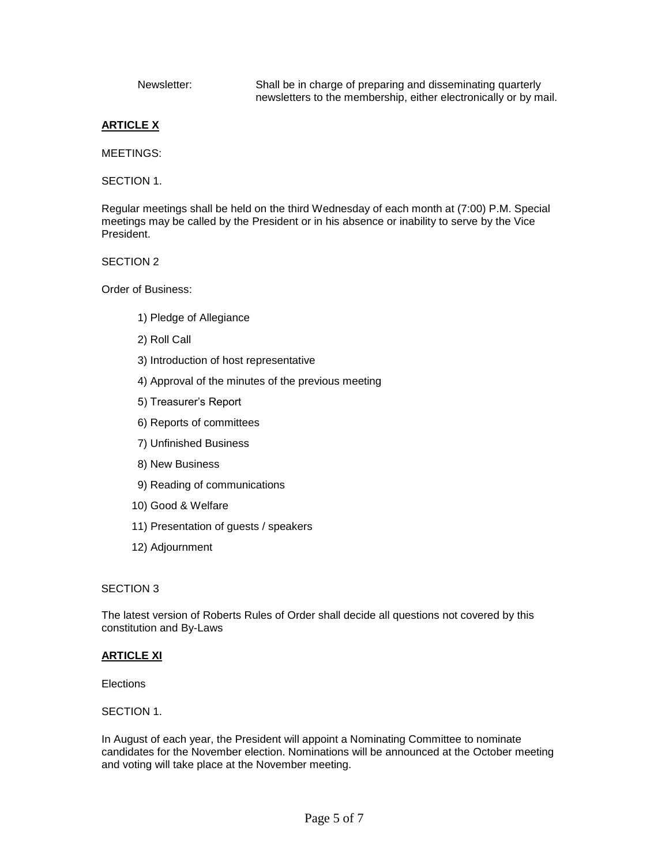Newsletter: Shall be in charge of preparing and disseminating quarterly newsletters to the membership, either electronically or by mail.

# **ARTICLE X**

MEETINGS:

SECTION 1.

Regular meetings shall be held on the third Wednesday of each month at (7:00) P.M. Special meetings may be called by the President or in his absence or inability to serve by the Vice President.

SECTION 2

Order of Business:

- 1) Pledge of Allegiance
- 2) Roll Call
- 3) Introduction of host representative
- 4) Approval of the minutes of the previous meeting
- 5) Treasurer's Report
- 6) Reports of committees
- 7) Unfinished Business
- 8) New Business
- 9) Reading of communications
- 10) Good & Welfare
- 11) Presentation of guests / speakers
- 12) Adjournment

#### SECTION 3

The latest version of Roberts Rules of Order shall decide all questions not covered by this constitution and By-Laws

#### **ARTICLE XI**

**Elections** 

#### SECTION 1.

In August of each year, the President will appoint a Nominating Committee to nominate candidates for the November election. Nominations will be announced at the October meeting and voting will take place at the November meeting.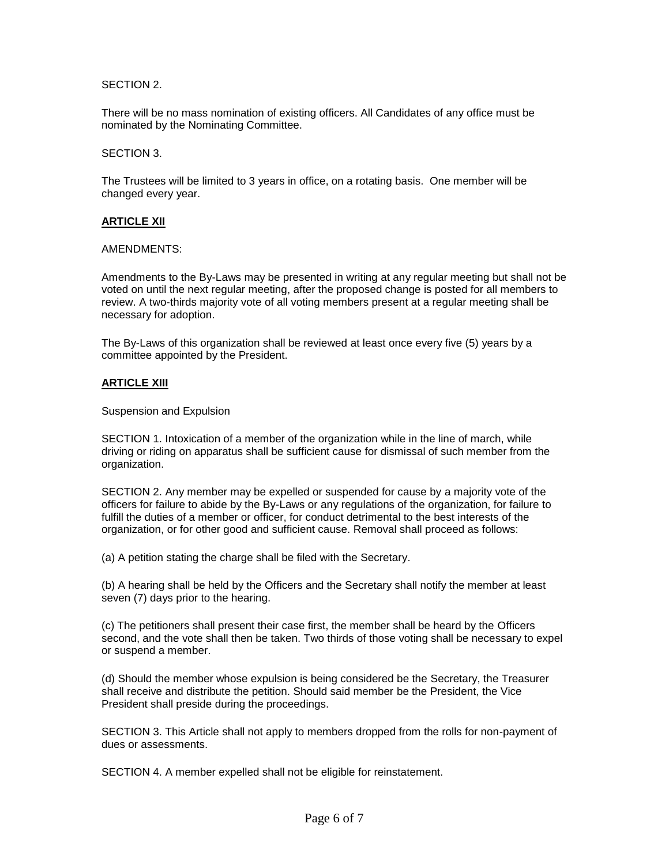# SECTION 2.

There will be no mass nomination of existing officers. All Candidates of any office must be nominated by the Nominating Committee.

#### SECTION 3.

The Trustees will be limited to 3 years in office, on a rotating basis. One member will be changed every year.

# **ARTICLE XII**

#### AMENDMENTS:

Amendments to the By-Laws may be presented in writing at any regular meeting but shall not be voted on until the next regular meeting, after the proposed change is posted for all members to review. A two-thirds majority vote of all voting members present at a regular meeting shall be necessary for adoption.

The By-Laws of this organization shall be reviewed at least once every five (5) years by a committee appointed by the President.

#### **ARTICLE XIII**

Suspension and Expulsion

SECTION 1. Intoxication of a member of the organization while in the line of march, while driving or riding on apparatus shall be sufficient cause for dismissal of such member from the organization.

SECTION 2. Any member may be expelled or suspended for cause by a majority vote of the officers for failure to abide by the By-Laws or any regulations of the organization, for failure to fulfill the duties of a member or officer, for conduct detrimental to the best interests of the organization, or for other good and sufficient cause. Removal shall proceed as follows:

(a) A petition stating the charge shall be filed with the Secretary.

(b) A hearing shall be held by the Officers and the Secretary shall notify the member at least seven (7) days prior to the hearing.

(c) The petitioners shall present their case first, the member shall be heard by the Officers second, and the vote shall then be taken. Two thirds of those voting shall be necessary to expel or suspend a member.

(d) Should the member whose expulsion is being considered be the Secretary, the Treasurer shall receive and distribute the petition. Should said member be the President, the Vice President shall preside during the proceedings.

SECTION 3. This Article shall not apply to members dropped from the rolls for non-payment of dues or assessments.

SECTION 4. A member expelled shall not be eligible for reinstatement.